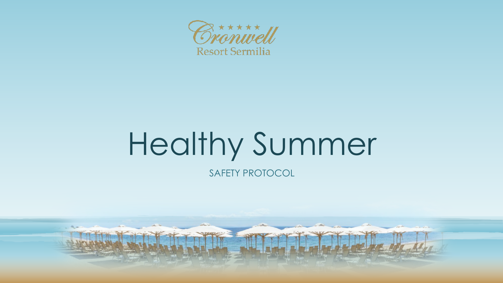

# Healthy Summer

SAFETY PROTOCOL

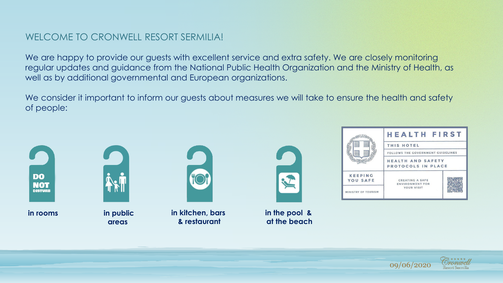#### WELCOME TO CRONWELL RESORT SERMILLA!

We are happy to provide our guests with excellent service and extra safety. We are closely monitoring regular updates and guidance from the National Public Health Organization and the Ministry of Health, as well as by additional governmental and European organizations.

We consider it important to inform our guests about measures we will take to ensure the health and safety of people:



**in rooms in public** 



**areas**



**in kitchen, bars & restaurant**



**in the pool & at the beach**



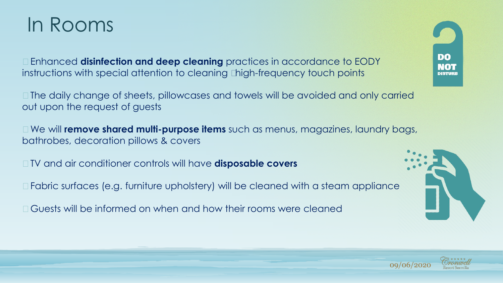

• Enhanced **disinfection and deep cleaning** practices in accordance to EODY instructions with special attention to cleaning "high-frequency touch points

• The daily change of sheets, pillowcases and towels will be avoided and only carried out upon the request of guests

• We will **remove shared multi-purpose items** such as menus, magazines, laundry bags, bathrobes, decoration pillows & covers

- TV and air conditioner controls will have **disposable covers**
- Fabric surfaces (e.g. furniture upholstery) will be cleaned with a steam appliance
- Guests will be informed on when and how their rooms were cleaned





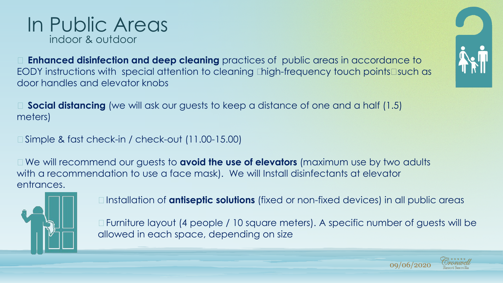• **Enhanced disinfection and deep cleaning** practices of public areas in accordance to EODY instructions with special attention to cleaning "high-frequency touch points" such as door handles and elevator knobs



• Simple & fast check-in / check-out (11.00-15.00)

In Public Areas

indoor & outdoor

• We will recommend our guests to **avoid the use of elevators** (maximum use by two adults with a recommendation to use a face mask). We will Install disinfectants at elevator entrances.



- Installation of **antiseptic solutions** (fixed or non-fixed devices) in all public areas
- Furniture layout (4 people / 10 square meters). A specific number of guests will be allowed in each space, depending on size



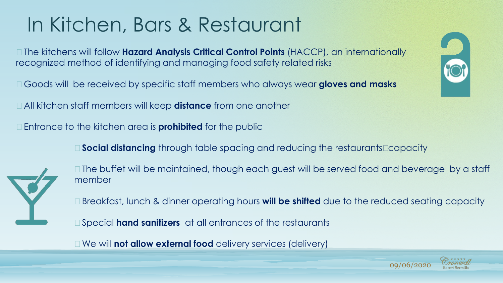# In Kitchen, Bars & Restaurant

- The kitchens will follow **Hazard Analysis Critical Control Points** (HACCP), an internationally recognized method of identifying and managing food safety related risks
- Goods will be received by specific staff members who always wear **gloves and masks**
- All kitchen staff members will keep **distance** from one another
- Entrance to the kitchen area is **prohibited** for the public
	- **Social distancing** through table spacing and reducing the restaurants' capacity



- The buffet will be maintained, though each guest will be served food and beverage by a staff member
- Breakfast, lunch & dinner operating hours **will be shifted** due to the reduced seating capacity
- Special **hand sanitizers** at all entrances of the restaurants
- We will **not allow external food** delivery services (delivery)



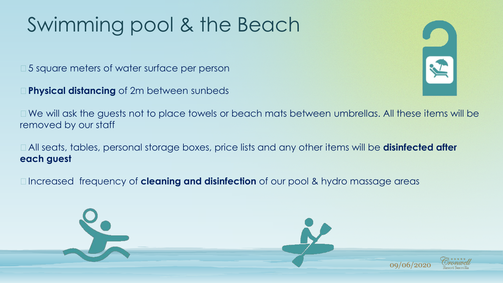# Swimming pool & the Beach

- 5 square meters of water surface per person
- **Physical distancing** of 2m between sunbeds



- We will ask the guests not to place towels or beach mats between umbrellas. All these items will be removed by our staff
- All seats, tables, personal storage boxes, price lists and any other items will be **disinfected after each guest**
- Increased frequency of **cleaning and disinfection** of our pool & hydro massage areas

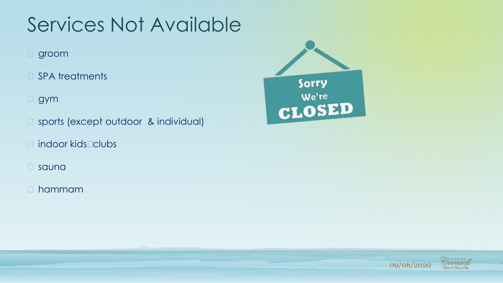### Services Not Available

- groom
- SPA treatments
- gym
- sports (except outdoor & individual)
- indoor kids' clubs
- sauna
- hammam



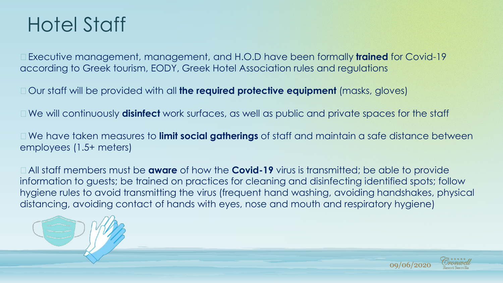#### Hotel Staff

• Executive management, management, and H.O.D have been formally **trained** for Covid-19 according to Greek tourism, EODY, Greek Hotel Association rules and regulations

- Our staff will be provided with all **the required protective equipment** (masks, gloves)
- We will continuously **disinfect** work surfaces, as well as public and private spaces for the staff

• We have taken measures to **limit social gatherings** of staff and maintain a safe distance between employees (1.5+ meters)

• All staff members must be **aware** of how the **Covid-19** virus is transmitted; be able to provide information to guests; be trained on practices for cleaning and disinfecting identified spots; follow hygiene rules to avoid transmitting the virus (frequent hand washing, avoiding handshakes, physical distancing, avoiding contact of hands with eyes, nose and mouth and respiratory hygiene)



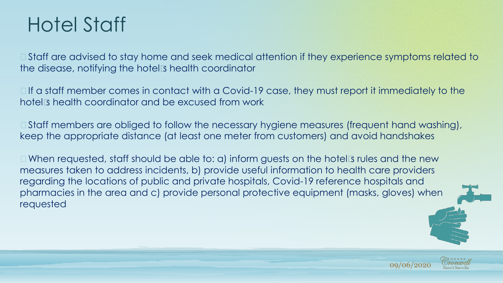#### Hotel Staff

• Staff are advised to stay home and seek medical attention if they experience symptoms related to the disease, notifying the hotel's health coordinator

• If a staff member comes in contact with a Covid-19 case, they must report it immediately to the hotel's health coordinator and be excused from work

• Staff members are obliged to follow the necessary hygiene measures (frequent hand washing), keep the appropriate distance (at least one meter from customers) and avoid handshakes

• When requested, staff should be able to: a) inform guests on the hotel's rules and the new measures taken to address incidents, b) provide useful information to health care providers regarding the locations of public and private hospitals, Covid-19 reference hospitals and pharmacies in the area and c) provide personal protective equipment (masks, gloves) when requested



09/06/2020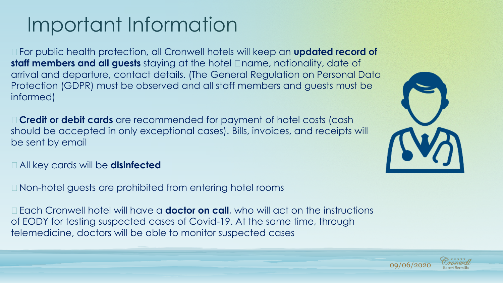# Important Information

• For public health protection, all Cronwell hotels will keep an **updated record of staff members and all guests** staying at the hotel – name, nationality, date of arrival and departure, contact details. (The General Regulation on Personal Data Protection (GDPR) must be observed and all staff members and guests must be informed)

• **Credit or debit cards** are recommended for payment of hotel costs (cash should be accepted in only exceptional cases). Bills, invoices, and receipts will be sent by email

- All key cards will be **disinfected**
- Non-hotel guests are prohibited from entering hotel rooms

• Each Cronwell hotel will have a **doctor on call**, who will act on the instructions of EODY for testing suspected cases of Covid-19. At the same time, through telemedicine, doctors will be able to monitor suspected cases



09/06/2020